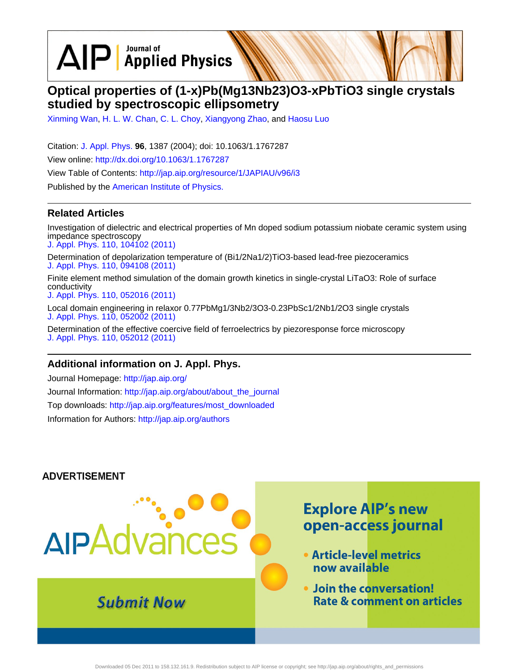$\text{AlP}$  Applied Physics

# **Optical properties of (1-x)Pb(Mg13Nb23)O3-xPbTiO3 single crystals studied by spectroscopic ellipsometry**

[Xinming Wan](http://jap.aip.org/search?sortby=newestdate&q=&searchzone=2&searchtype=searchin&faceted=faceted&key=AIP_ALL&possible1=Xinming Wan&possible1zone=author&alias=&displayid=AIP&ver=pdfcov), [H. L. W. Chan,](http://jap.aip.org/search?sortby=newestdate&q=&searchzone=2&searchtype=searchin&faceted=faceted&key=AIP_ALL&possible1=H. L. W. Chan&possible1zone=author&alias=&displayid=AIP&ver=pdfcov) [C. L. Choy,](http://jap.aip.org/search?sortby=newestdate&q=&searchzone=2&searchtype=searchin&faceted=faceted&key=AIP_ALL&possible1=C. L. Choy&possible1zone=author&alias=&displayid=AIP&ver=pdfcov) [Xiangyong Zhao](http://jap.aip.org/search?sortby=newestdate&q=&searchzone=2&searchtype=searchin&faceted=faceted&key=AIP_ALL&possible1=Xiangyong Zhao&possible1zone=author&alias=&displayid=AIP&ver=pdfcov), and [Haosu Luo](http://jap.aip.org/search?sortby=newestdate&q=&searchzone=2&searchtype=searchin&faceted=faceted&key=AIP_ALL&possible1=Haosu Luo&possible1zone=author&alias=&displayid=AIP&ver=pdfcov)

Citation: [J. Appl. Phys.](http://jap.aip.org/?ver=pdfcov) **96**, 1387 (2004); doi: 10.1063/1.1767287 View online: [http://dx.doi.org/10.1063/1.1767287](http://link.aip.org/link/doi/10.1063/1.1767287?ver=pdfcov) View Table of Contents: [http://jap.aip.org/resource/1/JAPIAU/v96/i3](http://jap.aip.org/resource/1/JAPIAU/v96/i3?ver=pdfcov) Published by the [American Institute of Physics.](http://www.aip.org/?ver=pdfcov)

### **Related Articles**

Investigation of dielectric and electrical properties of Mn doped sodium potassium niobate ceramic system using impedance spectroscopy [J. Appl. Phys. 110, 104102 \(2011\)](http://link.aip.org/link/doi/10.1063/1.3660267?ver=pdfcov)

Determination of depolarization temperature of (Bi1/2Na1/2)TiO3-based lead-free piezoceramics [J. Appl. Phys. 110, 094108 \(2011\)](http://link.aip.org/link/doi/10.1063/1.3660253?ver=pdfcov)

Finite element method simulation of the domain growth kinetics in single-crystal LiTaO3: Role of surface conductivity

[J. Appl. Phys. 110, 052016 \(2011\)](http://link.aip.org/link/doi/10.1063/1.3623762?ver=pdfcov)

Local domain engineering in relaxor 0.77PbMg1/3Nb2/3O3-0.23PbSc1/2Nb1/2O3 single crystals [J. Appl. Phys. 110, 052002 \(2011\)](http://link.aip.org/link/doi/10.1063/1.3624812?ver=pdfcov)

Determination of the effective coercive field of ferroelectrics by piezoresponse force microscopy [J. Appl. Phys. 110, 052012 \(2011\)](http://link.aip.org/link/doi/10.1063/1.3624802?ver=pdfcov)

### **Additional information on J. Appl. Phys.**

Journal Homepage: [http://jap.aip.org/](http://jap.aip.org/?ver=pdfcov) Journal Information: [http://jap.aip.org/about/about\\_the\\_journal](http://jap.aip.org/about/about_the_journal?ver=pdfcov) Top downloads: [http://jap.aip.org/features/most\\_downloaded](http://jap.aip.org/features/most_downloaded?ver=pdfcov) Information for Authors: [http://jap.aip.org/authors](http://jap.aip.org/authors?ver=pdfcov)

### **ADVERTISEMENT**

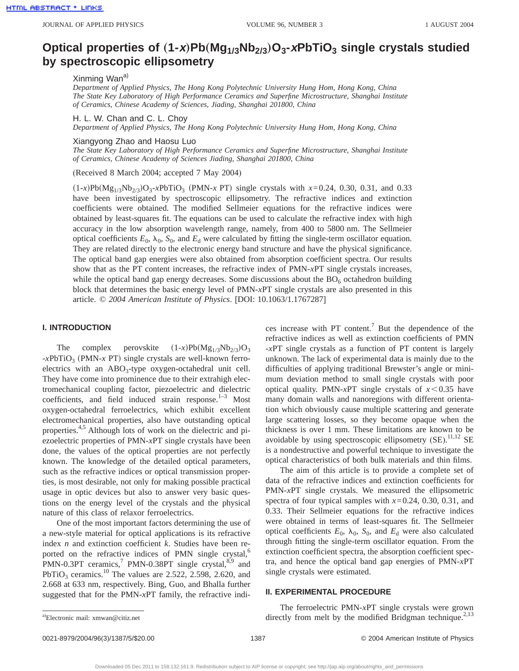## Optical properties of  $(1-x)Pb(Mg_{1/3}Nb_{2/3})O_3$ -xPbTiO<sub>3</sub> single crystals studied **by spectroscopic ellipsometry**

Xinming Wan<sup>a)</sup>

*Department of Applied Physics, The Hong Kong Polytechnic University Hung Hom, Hong Kong, China The State Key Laboratory of High Performance Ceramics and Superfine Microstructure, Shanghai Institute of Ceramics, Chinese Academy of Sciences, Jiading, Shanghai 201800, China*

H. L. W. Chan and C. L. Choy

*Department of Applied Physics, The Hong Kong Polytechnic University Hung Hom, Hong Kong, China*

Xiangyong Zhao and Haosu Luo

*The State Key Laboratory of High Performance Ceramics and Superfine Microstructure, Shanghai Institute of Ceramics, Chinese Academy of Sciences Jiading, Shanghai 201800, China*

(Received 8 March 2004; accepted 7 May 2004)

 $(1-x)Pb(Mg_{1/3}Nb_{2/3})O_3$ -*x*PbTiO<sub>3</sub> (PMN-*x* PT) single crystals with  $x=0.24$ , 0.30, 0.31, and 0.33 have been investigated by spectroscopic ellipsometry. The refractive indices and extinction coefficients were obtained. The modified Sellmeier equations for the refractive indices were obtained by least-squares fit. The equations can be used to calculate the refractive index with high accuracy in the low absorption wavelength range, namely, from 400 to 5800 nm. The Sellmeier optical coefficients  $E_0$ ,  $\lambda_0$ ,  $S_0$ , and  $E_d$  were calculated by fitting the single-term oscillator equation. They are related directly to the electronic energy band structure and have the physical significance. The optical band gap energies were also obtained from absorption coefficient spectra. Our results show that as the PT content increases, the refractive index of PMN-*x*PT single crystals increases, while the optical band gap energy decreases. Some discussions about the  $BO<sub>6</sub>$  octahedron building block that determines the basic energy level of PMN-*x*PT single crystals are also presented in this article. © *2004 American Institute of Physics*. [DOI: 10.1063/1.1767287]

#### **I. INTRODUCTION**

The complex perovskite  $(1-x)Pb(Mg_{1/3}Nb_{2/3})O_3$  $-xPbTiO<sub>3</sub>$  (PMN-*x* PT) single crystals are well-known ferroelectrics with an  $ABO_3$ -type oxygen-octahedral unit cell. They have come into prominence due to their extrahigh electromechanical coupling factor, piezoelectric and dielectric coefficients, and field induced strain response. $1-3$  Most oxygen-octahedral ferroelectrics, which exhibit excellent electromechanical properties, also have outstanding optical properties.<sup>4,5</sup> Although lots of work on the dielectric and piezoelectric properties of PMN-*x*PT single crystals have been done, the values of the optical properties are not perfectly known. The knowledge of the detailed optical parameters, such as the refractive indices or optical transmission properties, is most desirable, not only for making possible practical usage in optic devices but also to answer very basic questions on the energy level of the crystals and the physical nature of this class of relaxor ferroelectrics.

One of the most important factors determining the use of a new-style material for optical applications is its refractive index *n* and extinction coefficient *k*. Studies have been reported on the refractive indices of PMN single crystal, $6$ PMN-0.3PT ceramics,<sup>7</sup> PMN-0.38PT single crystal, $859$  and PbTiO<sub>3</sub> ceramics.<sup>10</sup> The values are 2.522, 2.598, 2.620, and 2.668 at 633 nm, respectively. Bing, Guo, and Bhalla further suggested that for the PMN-*x*PT family, the refractive indices increase with PT content.7 But the dependence of the refractive indices as well as extinction coefficients of PMN -*x*PT single crystals as a function of PT content is largely unknown. The lack of experimental data is mainly due to the difficulties of applying traditional Brewster's angle or minimum deviation method to small single crystals with poor optical quality. PMN- $x$ PT single crystals of  $x \le 0.35$  have many domain walls and nanoregions with different orientation which obviously cause multiple scattering and generate large scattering losses, so they become opaque when the thickness is over 1 mm. These limitations are known to be avoidable by using spectroscopic ellipsometry  $(SE)$ .<sup>11,12</sup> SE is a nondestructive and powerful technique to investigate the optical characteristics of both bulk materials and thin films.

The aim of this article is to provide a complete set of data of the refractive indices and extinction coefficients for PMN-*x*PT single crystals. We measured the ellipsometric spectra of four typical samples with *x*=0.24, 0.30, 0.31, and 0.33. Their Sellmeier equations for the refractive indices were obtained in terms of least-squares fit. The Sellmeier optical coefficients  $E_0$ ,  $\lambda_0$ ,  $S_0$ , and  $E_d$  were also calculated through fitting the single-term oscillator equation. From the extinction coefficient spectra, the absorption coefficient spectra, and hence the optical band gap energies of PMN-*x*PT single crystals were estimated.

#### **II. EXPERIMENTAL PROCEDURE**

The ferroelectric PMN-*x*PT single crystals were grown <sup>a)</sup>Electronic mail: xmwan@citiz.net directly from melt by the modified Bridgman technique.<sup>2,13</sup>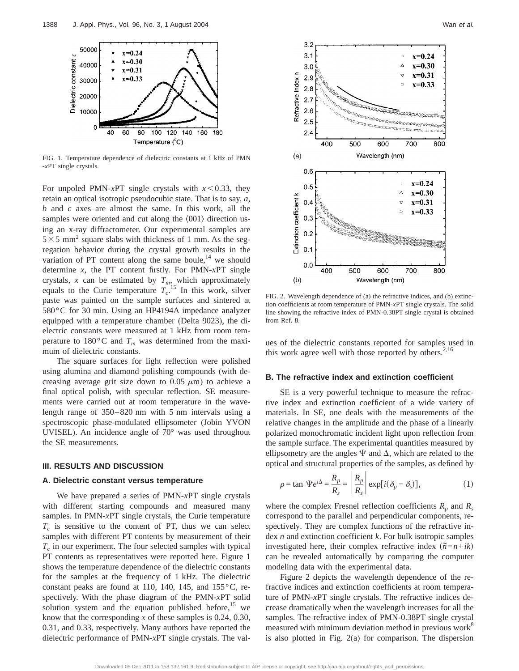

FIG. 1. Temperature dependence of dielectric constants at 1 kHz of PMN -*x*PT single crystals.

For unpoled PMN-*x*PT single crystals with  $x$ <0.33, they retain an optical isotropic pseudocubic state. That is to say, *a*, *b* and *c* axes are almost the same. In this work, all the samples were oriented and cut along the  $\langle 001 \rangle$  direction using an x-ray diffractometer. Our experimental samples are  $5 \times 5$  mm<sup>2</sup> square slabs with thickness of 1 mm. As the segregation behavior during the crystal growth results in the variation of PT content along the same boule, $^{14}$  we should determine *x*, the PT content firstly. For PMN-*x*PT single crystals, *x* can be estimated by  $T_{m}$ , which approximately equals to the Curie temperature  $T_c^{15}$  In this work, silver paste was painted on the sample surfaces and sintered at 580°C for 30 min. Using an HP4194A impedance analyzer equipped with a temperature chamber (Delta 9023), the dielectric constants were measured at 1 kHz from room temperature to 180 $^{\circ}$ C and  $T_m$  was determined from the maximum of dielectric constants.

The square surfaces for light reflection were polished using alumina and diamond polishing compounds (with decreasing average grit size down to 0.05  $\mu$ m) to achieve a final optical polish, with specular reflection. SE measurements were carried out at room temperature in the wavelength range of 350–820 nm with 5 nm intervals using a spectroscopic phase-modulated ellipsometer (Jobin YVON UVISEL). An incidence angle of 70° was used throughout the SE measurements.

#### **III. RESULTS AND DISCUSSION**

#### **A. Dielectric constant versus temperature**

We have prepared a series of PMN-*x*PT single crystals with different starting compounds and measured many samples. In PMN-*x*PT single crystals, the Curie temperature  $T_c$  is sensitive to the content of PT, thus we can select samples with different PT contents by measurement of their  $T_c$  in our experiment. The four selected samples with typical PT contents as representatives were reported here. Figure 1 shows the temperature dependence of the dielectric constants for the samples at the frequency of 1 kHz. The dielectric constant peaks are found at 110, 140, 145, and 155°C, respectively. With the phase diagram of the PMN-*x*PT solid solution system and the equation published before, $15$  we know that the corresponding *x* of these samples is 0.24, 0.30, 0.31, and 0.33, respectively. Many authors have reported the dielectric performance of PMN-*x*PT single crystals. The val-



FIG. 2. Wavelength dependence of (a) the refractive indices, and (b) extinction coefficients at room temperature of PMN-*x*PT single crystals. The solid line showing the refractive index of PMN-0.38PT single crystal is obtained from Ref. 8.

ues of the dielectric constants reported for samples used in this work agree well with those reported by others. $2,16$ 

#### **B. The refractive index and extinction coefficient**

SE is a very powerful technique to measure the refractive index and extinction coefficient of a wide variety of materials. In SE, one deals with the measurements of the relative changes in the amplitude and the phase of a linearly polarized monochromatic incident light upon reflection from the sample surface. The experimental quantities measured by ellipsometry are the angles  $\Psi$  and  $\Delta$ , which are related to the optical and structural properties of the samples, as defined by

$$
\rho = \tan \Psi e^{i\Delta} = \frac{R_p}{R_s} = \left| \frac{R_p}{R_s} \right| \exp[i(\delta_p - \delta_s)], \tag{1}
$$

where the complex Fresnel reflection coefficients  $R_p$  and  $R_s$ correspond to the parallel and perpendicular components, respectively. They are complex functions of the refractive index *n* and extinction coefficient *k*. For bulk isotropic samples investigated here, their complex refractive index  $(\tilde{n} = n + i k)$ can be revealed automatically by comparing the computer modeling data with the experimental data.

Figure 2 depicts the wavelength dependence of the refractive indices and extinction coefficients at room temperature of PMN-*x*PT single crystals. The refractive indices decrease dramatically when the wavelength increases for all the samples. The refractive index of PMN-0.38PT single crystal measured with minimum deviation method in previous work<sup>8</sup> is also plotted in Fig. 2(a) for comparison. The dispersion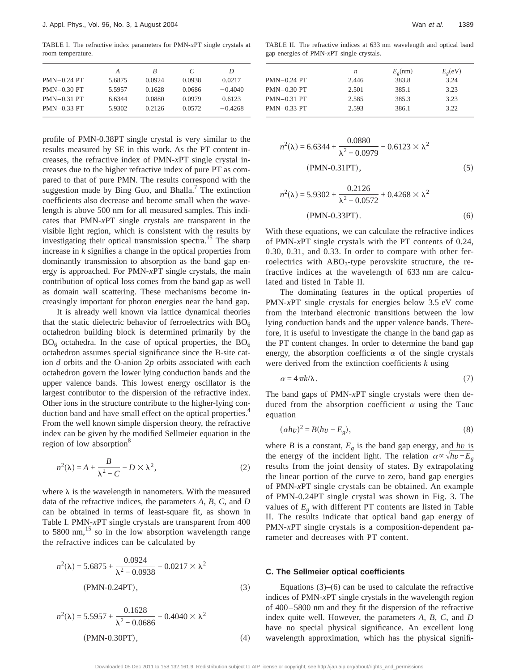TABLE I. The refractive index parameters for PMN-*x*PT single crystals at room temperature.

|               | А      | B      | C      | D         |
|---------------|--------|--------|--------|-----------|
| $PMN-0.24$ PT | 5.6875 | 0.0924 | 0.0938 | 0.0217    |
| $PMN-0.30$ PT | 5.5957 | 0.1628 | 0.0686 | $-0.4040$ |
| $PMN-0.31$ PT | 6.6344 | 0.0880 | 0.0979 | 0.6123    |
| $PMN-0.33$ PT | 5.9302 | 0.2126 | 0.0572 | $-0.4268$ |
|               |        |        |        |           |

profile of PMN-0.38PT single crystal is very similar to the results measured by SE in this work. As the PT content increases, the refractive index of PMN-*x*PT single crystal increases due to the higher refractive index of pure PT as compared to that of pure PMN. The results correspond with the suggestion made by Bing Guo, and Bhalla.<sup>7</sup> The extinction coefficients also decrease and become small when the wavelength is above 500 nm for all measured samples. This indicates that PMN-*x*PT single crystals are transparent in the visible light region, which is consistent with the results by investigating their optical transmission spectra.<sup>15</sup> The sharp increase in *k* signifies a change in the optical properties from dominantly transmission to absorption as the band gap energy is approached. For PMN-*x*PT single crystals, the main contribution of optical loss comes from the band gap as well as domain wall scattering. These mechanisms become increasingly important for photon energies near the band gap.

It is already well known via lattice dynamical theories that the static dielectric behavior of ferroelectrics with  $BO<sub>6</sub>$ octahedron building block is determined primarily by the  $BO<sub>6</sub>$  octahedra. In the case of optical properties, the  $BO<sub>6</sub>$ octahedron assumes special significance since the B-site cation *d* orbits and the O-anion 2*p* orbits associated with each octahedron govern the lower lying conduction bands and the upper valence bands. This lowest energy oscillator is the largest contributor to the dispersion of the refractive index. Other ions in the structure contribute to the higher-lying conduction band and have small effect on the optical properties.<sup>4</sup> From the well known simple dispersion theory, the refractive index can be given by the modified Sellmeier equation in the region of low absorption<sup>8</sup>

$$
n^{2}(\lambda) = A + \frac{B}{\lambda^{2} - C} - D \times \lambda^{2},
$$
 (2)

where  $\lambda$  is the wavelength in nanometers. With the measured data of the refractive indices, the parameters *A*, *B*, *C*, and *D* can be obtained in terms of least-square fit, as shown in Table I. PMN-*x*PT single crystals are transparent from 400 to 5800 nm, $^{15}$  so in the low absorption wavelength range the refractive indices can be calculated by

$$
n^{2}(\lambda) = 5.6875 + \frac{0.0924}{\lambda^{2} - 0.0938} - 0.0217 \times \lambda^{2}
$$
  
(PMN-0.24PT), (3)

$$
n^{2}(\lambda) = 5.5957 + \frac{0.1628}{\lambda^{2} - 0.0686} + 0.4040 \times \lambda^{2}
$$
  
(PMN-0.30PT), (4)

TABLE II. The refractive indices at 633 nm wavelength and optical band gap energies of PMN-*x*PT single crystals.

|               | n     | E <sub>g</sub> (nm) | E <sub>g</sub> (eV) |
|---------------|-------|---------------------|---------------------|
| $PMN-0.24$ PT | 2.446 | 383.8               | 3.24                |
| $PMN-0.30$ PT | 2.501 | 385.1               | 3.23                |
| $PMN-0.31$ PT | 2.585 | 385.3               | 3.23                |
| $PMN-0.33$ PT | 2.593 | 386.1               | 3.22                |

$$
n^{2}(\lambda) = 6.6344 + \frac{0.0880}{\lambda^{2} - 0.0979} - 0.6123 \times \lambda^{2}
$$
  
(PMN-0.31PT), (5)

$$
0.2126
$$

$$
n^{2}(\lambda) = 5.9302 + \frac{0.2120}{\lambda^{2} - 0.0572} + 0.4268 \times \lambda^{2}
$$
  
(PMN-0.33PT). (6)

With these equations, we can calculate the refractive indices of PMN-*x*PT single crystals with the PT contents of 0.24, 0.30, 0.31, and 0.33. In order to compare with other ferroelectrics with  $ABO<sub>3</sub>$ -type perovskite structure, the refractive indices at the wavelength of 633 nm are calculated and listed in Table II.

The dominating features in the optical properties of PMN-*x*PT single crystals for energies below 3.5 eV come from the interband electronic transitions between the low lying conduction bands and the upper valence bands. Therefore, it is useful to investigate the change in the band gap as the PT content changes. In order to determine the band gap energy, the absorption coefficients  $\alpha$  of the single crystals were derived from the extinction coefficients *k* using

$$
\alpha = 4\pi k/\lambda. \tag{7}
$$

The band gaps of PMN-*x*PT single crystals were then deduced from the absorption coefficient  $\alpha$  using the Tauc equation

$$
(\alpha h v)^2 = B(hv - E_g),\tag{8}
$$

where *B* is a constant,  $E_g$  is the band gap energy, and *hv* is the energy of the incident light. The relation  $\alpha \propto \sqrt{h v - E_g}$ results from the joint density of states. By extrapolating the linear portion of the curve to zero, band gap energies of PMN-*x*PT single crystals can be obtained. An example of PMN-0.24PT single crystal was shown in Fig. 3. The values of  $E_{\varphi}$  with different PT contents are listed in Table II. The results indicate that optical band gap energy of PMN-*x*PT single crystals is a composition-dependent parameter and decreases with PT content.

#### **C. The Sellmeier optical coefficients**

Equations  $(3)$ – $(6)$  can be used to calculate the refractive indices of PMN-*x*PT single crystals in the wavelength region of 400–5800 nm and they fit the dispersion of the refractive index quite well. However, the parameters *A*, *B*, *C*, and *D* have no special physical significance. An excellent long wavelength approximation, which has the physical signifi-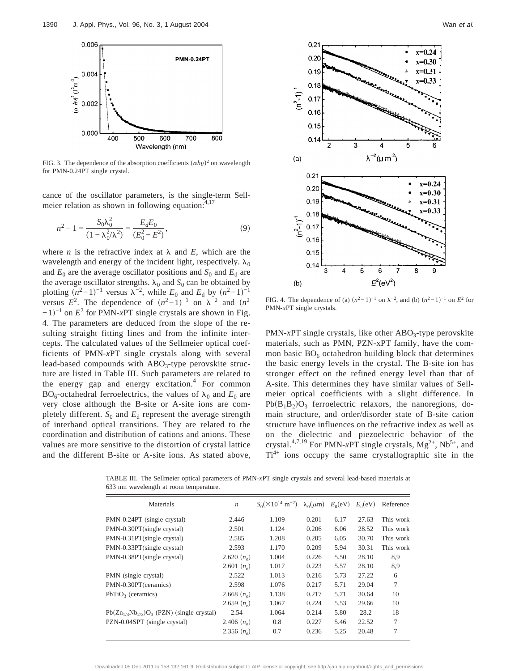

FIG. 3. The dependence of the absorption coefficients  $(\alpha h v)^2$  on wavelength for PMN-0.24PT single crystal.

cance of the oscillator parameters, is the single-term Sellmeier relation as shown in following equation:<sup>4,17</sup>

$$
n^{2} - 1 = \frac{S_{0}\lambda_{0}^{2}}{(1 - \lambda_{0}^{2}/\lambda^{2})} = \frac{E_{d}E_{0}}{(E_{0}^{2} - E^{2})},
$$
\n(9)

where *n* is the refractive index at  $\lambda$  and *E*, which are the wavelength and energy of the incident light, respectively.  $\lambda_0$ and  $E_0$  are the average oscillator positions and  $S_0$  and  $E_d$  are the average oscillator strengths.  $\lambda_0$  and  $S_0$  can be obtained by plotting  $(n^2-1)^{-1}$  versus  $\lambda^{-2}$ , while  $E_0$  and  $E_d$  by  $(n^2-1)^{-1}$ versus  $E^2$ . The dependence of  $(n^2-1)^{-1}$  on  $\lambda^{-2}$  and  $(n^2)$  $-1$ <sup>-1</sup> on  $E^2$  for PMN-*x*PT single crystals are shown in Fig. 4. The parameters are deduced from the slope of the resulting straight fitting lines and from the infinite intercepts. The calculated values of the Sellmeier optical coefficients of PMN-*x*PT single crystals along with several lead-based compounds with  $ABO<sub>3</sub>$ -type perovskite structure are listed in Table III. Such parameters are related to the energy gap and energy excitation.<sup>4</sup> For common  $BO<sub>6</sub>$ -octahedral ferroelectrics, the values of  $\lambda_0$  and  $E_0$  are very close although the B-site or A-site ions are completely different.  $S_0$  and  $E_d$  represent the average strength of interband optical transitions. They are related to the coordination and distribution of cations and anions. These values are more sensitive to the distortion of crystal lattice and the different B-site or A-site ions. As stated above,



FIG. 4. The dependence of (a)  $(n^2-1)^{-1}$  on  $\lambda^{-2}$ , and (b)  $(n^2-1)^{-1}$  on  $E^2$  for PMN-*x*PT single crystals.

PMN-*x*PT single crystals, like other ABO<sub>3</sub>-type perovskite materials, such as PMN, PZN-xPT family, have the common basic  $BO<sub>6</sub>$  octahedron building block that determines the basic energy levels in the crystal. The B-site ion has stronger effect on the refined energy level than that of A-site. This determines they have similar values of Sellmeier optical coefficients with a slight difference. In  $Pb(B_1B_2)O_3$  ferroelectric relaxors, the nanoregions, domain structure, and order/disorder state of B-site cation structure have influences on the refractive index as well as on the dielectric and piezoelectric behavior of the crystal.<sup>4,7,19</sup> For PMN-*x*PT single crystals,  $Mg^{2+}$ , Nb<sup>5+</sup>, and  $Ti<sup>4+</sup>$  ions occupy the same crystallographic site in the

TABLE III. The Sellmeier optical parameters of PMN-*x*PT single crystals and several lead-based materials at 633 nm wavelength at room temperature.

| Materials                                        | $\boldsymbol{n}$ | $S_0(\times 10^{14} \text{ m}^{-2})$ | $\lambda_0(\mu m)$ | $E_0({\rm eV})$ | $E_{\rm d}$ (eV) | Reference |
|--------------------------------------------------|------------------|--------------------------------------|--------------------|-----------------|------------------|-----------|
| PMN-0.24PT (single crystal)                      | 2.446            | 1.109                                | 0.201              | 6.17            | 27.63            | This work |
| PMN-0.30PT(single crystal)                       | 2.501            | 1.124                                | 0.206              | 6.06            | 28.52            | This work |
| PMN-0.31PT(single crystal)                       | 2.585            | 1.208                                | 0.205              | 6.05            | 30.70            | This work |
| PMN-0.33PT(single crystal)                       | 2.593            | 1.170                                | 0.209              | 5.94            | 30.31            | This work |
| PMN-0.38PT(single crystal)                       | 2.620 $(n_0)$    | 1.004                                | 0.226              | 5.50            | 28.10            | 8,9       |
|                                                  | 2.601 $(n_e)$    | 1.017                                | 0.223              | 5.57            | 28.10            | 8,9       |
| PMN (single crystal)                             | 2.522            | 1.013                                | 0.216              | 5.73            | 27.22            | 6         |
| PMN-0.30PT(ceramics)                             | 2.598            | 1.076                                | 0.217              | 5.71            | 29.04            | 7         |
| $PbTiO3$ (ceramics)                              | 2.668 $(no)$     | 1.138                                | 0.217              | 5.71            | 30.64            | 10        |
|                                                  | 2.659 $(na)$     | 1.067                                | 0.224              | 5.53            | 29.66            | 10        |
| $Pb(Zn_{1/3}Nb_{2/3})O_3$ (PZN) (single crystal) | 2.54             | 1.064                                | 0.214              | 5.80            | 28.2             | 18        |
| PZN-0.04SPT (single crystal)                     | 2.406 $(no)$     | 0.8                                  | 0.227              | 5.46            | 22.52            | 7         |
|                                                  | 2.356 $(n_a)$    | 0.7                                  | 0.236              | 5.25            | 20.48            | 7         |
|                                                  |                  |                                      |                    |                 |                  |           |

to 158.132.161.9. Redistribution subject to AIP license or copyright; see http://jap.aip.org/about/rights\_and